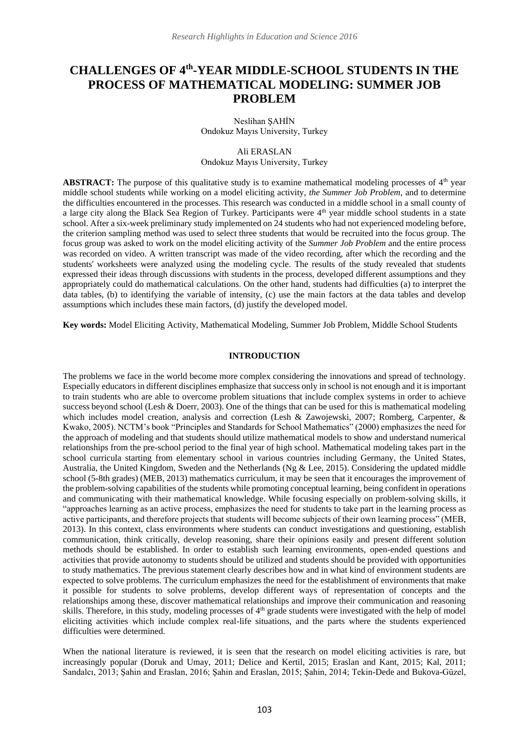# **CHALLENGES OF 4th -YEAR MIDDLE-SCHOOL STUDENTS IN THE PROCESS OF MATHEMATICAL MODELING: SUMMER JOB PROBLEM**

Neslihan ŞAHİN Ondokuz Mayıs University, Turkey

## Ali ERASLAN Ondokuz Mayıs University, Turkey

**ABSTRACT:** The purpose of this qualitative study is to examine mathematical modeling processes of 4<sup>th</sup> year middle school students while working on a model eliciting activity, *the Summer Job Problem*, and to determine the difficulties encountered in the processes. This research was conducted in a middle school in a small county of a large city along the Black Sea Region of Turkey. Participants were 4<sup>th</sup> year middle school students in a state school. After a six-week preliminary study implemented on 24 students who had not experienced modeling before, the criterion sampling method was used to select three students that would be recruited into the focus group. The focus group was asked to work on the model eliciting activity of the *Summer Job Problem* and the entire process was recorded on video. A written transcript was made of the video recording, after which the recording and the students' worksheets were analyzed using the modeling cycle. The results of the study revealed that students expressed their ideas through discussions with students in the process, developed different assumptions and they appropriately could do mathematical calculations. On the other hand, students had difficulties (a) to interpret the data tables, (b) to identifying the variable of intensity, (c) use the main factors at the data tables and develop assumptions which includes these main factors, (d) justify the developed model.

**Key words:** Model Eliciting Activity, Mathematical Modeling, Summer Job Problem, Middle School Students

#### **INTRODUCTION**

The problems we face in the world become more complex considering the innovations and spread of technology. Especially educators in different disciplines emphasize that success only in school is not enough and it is important to train students who are able to overcome problem situations that include complex systems in order to achieve success beyond school (Lesh & Doerr, 2003). One of the things that can be used for this is mathematical modeling which includes model creation, analysis and correction (Lesh & Zawojewski, 2007; Romberg, Carpenter, & Kwako, 2005). NCTM's book "Principles and Standards for School Mathematics" (2000) emphasizes the need for the approach of modeling and that students should utilize mathematical models to show and understand numerical relationships from the pre-school period to the final year of high school. Mathematical modeling takes part in the school curricula starting from elementary school in various countries including Germany, the United States, Australia, the United Kingdom, Sweden and the Netherlands (Ng & Lee, 2015). Considering the updated middle school (5-8th grades) (MEB, 2013) mathematics curriculum, it may be seen that it encourages the improvement of the problem-solving capabilities of the students while promoting conceptual learning, being confident in operations and communicating with their mathematical knowledge. While focusing especially on problem-solving skills, it "approaches learning as an active process, emphasizes the need for students to take part in the learning process as active participants, and therefore projects that students will become subjects of their own learning process" (MEB, 2013). In this context, class environments where students can conduct investigations and questioning, establish communication, think critically, develop reasoning, share their opinions easily and present different solution methods should be established. In order to establish such learning environments, open-ended questions and activities that provide autonomy to students should be utilized and students should be provided with opportunities to study mathematics. The previous statement clearly describes how and in what kind of environment students are expected to solve problems. The curriculum emphasizes the need for the establishment of environments that make it possible for students to solve problems, develop different ways of representation of concepts and the relationships among these, discover mathematical relationships and improve their communication and reasoning skills. Therefore, in this study, modeling processes of 4<sup>th</sup> grade students were investigated with the help of model eliciting activities which include complex real-life situations, and the parts where the students experienced difficulties were determined.

When the national literature is reviewed, it is seen that the research on model eliciting activities is rare, but increasingly popular (Doruk and Umay, 2011; Delice and Kertil, 2015; Eraslan and Kant, 2015; Kal, 2011; Sandalcı, 2013; Şahin and Eraslan, 2016; Şahin and Eraslan, 2015; Şahin, 2014; Tekin-Dede and Bukova-Güzel,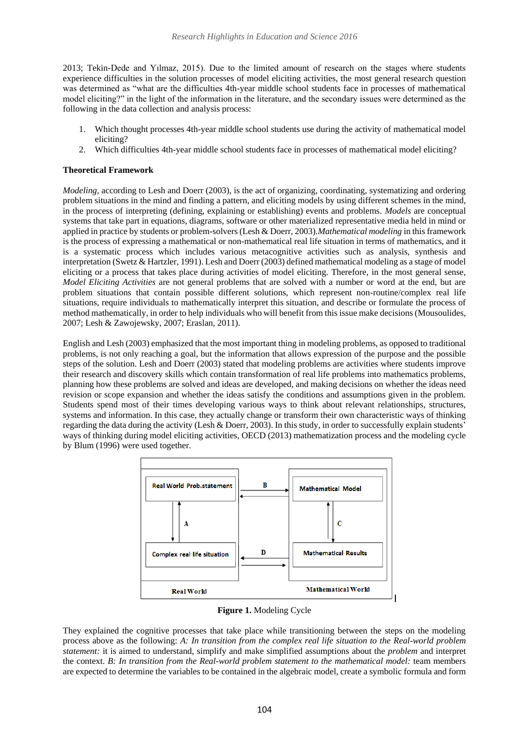2013; Tekin-Dede and Yılmaz, 2015). Due to the limited amount of research on the stages where students experience difficulties in the solution processes of model eliciting activities, the most general research question was determined as "what are the difficulties 4th-year middle school students face in processes of mathematical model eliciting?" in the light of the information in the literature, and the secondary issues were determined as the following in the data collection and analysis process:

- 1. Which thought processes 4th-year middle school students use during the activity of mathematical model eliciting?
- 2. Which difficulties 4th-year middle school students face in processes of mathematical model eliciting?

## **Theoretical Framework**

*Modeling, according to Lesh and Doerr (2003), is the act of organizing, coordinating, systematizing and ordering* problem situations in the mind and finding a pattern, and eliciting models by using different schemes in the mind, in the process of interpreting (defining, explaining or establishing) events and problems. *Models* are conceptual systems that take part in equations, diagrams, software or other materialized representative media held in mind or applied in practice by students or problem-solvers (Lesh & Doerr, 2003).*Mathematical modeling* in this framework is the process of expressing a mathematical or non-mathematical real life situation in terms of mathematics, and it is a systematic process which includes various metacognitive activities such as analysis, synthesis and interpretation (Swetz & Hartzler, 1991). Lesh and Doerr (2003) defined mathematical modeling as a stage of model eliciting or a process that takes place during activities of model eliciting. Therefore, in the most general sense, *Model Eliciting Activities* are not general problems that are solved with a number or word at the end, but are problem situations that contain possible different solutions, which represent non-routine/complex real life situations, require individuals to mathematically interpret this situation, and describe or formulate the process of method mathematically, in order to help individuals who will benefit from this issue make decisions (Mousoulides, 2007; Lesh & Zawojewsky, 2007; Eraslan, 2011).

English and Lesh (2003) emphasized that the most important thing in modeling problems, as opposed to traditional problems, is not only reaching a goal, but the information that allows expression of the purpose and the possible steps of the solution. Lesh and Doerr (2003) stated that modeling problems are activities where students improve their research and discovery skills which contain transformation of real life problems into mathematics problems, planning how these problems are solved and ideas are developed, and making decisions on whether the ideas need revision or scope expansion and whether the ideas satisfy the conditions and assumptions given in the problem. Students spend most of their times developing various ways to think about relevant relationships, structures, systems and information. In this case, they actually change or transform their own characteristic ways of thinking regarding the data during the activity (Lesh & Doerr, 2003). In this study, in order to successfully explain students' ways of thinking during model eliciting activities, OECD (2013) mathematization process and the modeling cycle by Blum (1996) were used together.



**Figure 1.** Modeling Cycle

They explained the cognitive processes that take place while transitioning between the steps on the modeling process above as the following: *A: In transition from the complex real life situation to the Real-world problem statement:* it is aimed to understand, simplify and make simplified assumptions about the *problem* and interpret the context. *B: In transition from the Real-world problem statement to the mathematical model:* team members are expected to determine the variables to be contained in the algebraic model, create a symbolic formula and form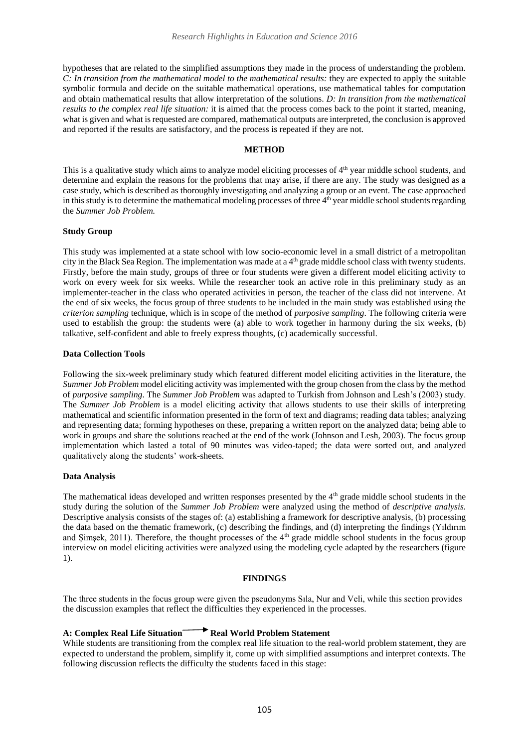hypotheses that are related to the simplified assumptions they made in the process of understanding the problem. *C: In transition from the mathematical model to the mathematical results:* they are expected to apply the suitable symbolic formula and decide on the suitable mathematical operations, use mathematical tables for computation and obtain mathematical results that allow interpretation of the solutions. *D: In transition from the mathematical results to the complex real life situation:* it is aimed that the process comes back to the point it started, meaning, what is given and what is requested are compared, mathematical outputs are interpreted, the conclusion is approved and reported if the results are satisfactory, and the process is repeated if they are not.

### **METHOD**

This is a qualitative study which aims to analyze model eliciting processes of 4<sup>th</sup> year middle school students, and determine and explain the reasons for the problems that may arise, if there are any. The study was designed as a case study, which is described as thoroughly investigating and analyzing a group or an event. The case approached in this study is to determine the mathematical modeling processes of three  $4<sup>th</sup>$  year middle school students regarding the *Summer Job Problem.*

#### **Study Group**

This study was implemented at a state school with low socio-economic level in a small district of a metropolitan city in the Black Sea Region. The implementation was made at a  $4<sup>th</sup>$  grade middle school class with twenty students. Firstly, before the main study, groups of three or four students were given a different model eliciting activity to work on every week for six weeks. While the researcher took an active role in this preliminary study as an implementer-teacher in the class who operated activities in person, the teacher of the class did not intervene. At the end of six weeks, the focus group of three students to be included in the main study was established using the *criterion sampling* technique, which is in scope of the method of *purposive sampling*. The following criteria were used to establish the group: the students were (a) able to work together in harmony during the six weeks, (b) talkative, self-confident and able to freely express thoughts, (c) academically successful.

#### **Data Collection Tools**

Following the six-week preliminary study which featured different model eliciting activities in the literature, the *Summer Job Problem* model eliciting activity was implemented with the group chosen from the class by the method of *purposive sampling*. The *Summer Job Problem* was adapted to Turkish from Johnson and Lesh's (2003) study. The *Summer Job Problem* is a model eliciting activity that allows students to use their skills of interpreting mathematical and scientific information presented in the form of text and diagrams; reading data tables; analyzing and representing data; forming hypotheses on these, preparing a written report on the analyzed data; being able to work in groups and share the solutions reached at the end of the work (Johnson and Lesh, 2003). The focus group implementation which lasted a total of 90 minutes was video-taped; the data were sorted out, and analyzed qualitatively along the students' work-sheets.

## **Data Analysis**

The mathematical ideas developed and written responses presented by the  $4<sup>th</sup>$  grade middle school students in the study during the solution of the *Summer Job Problem* were analyzed using the method of *descriptive analysis.* Descriptive analysis consists of the stages of: (a) establishing a framework for descriptive analysis, (b) processing the data based on the thematic framework, (c) describing the findings, and (d) interpreting the findings (Yıldırım and Şimşek, 2011). Therefore, the thought processes of the 4<sup>th</sup> grade middle school students in the focus group interview on model eliciting activities were analyzed using the modeling cycle adapted by the researchers (figure 1).

## **FINDINGS**

The three students in the focus group were given the pseudonyms Sıla, Nur and Veli, while this section provides the discussion examples that reflect the difficulties they experienced in the processes.

# **A: Complex Real Life Situation Real World Problem Statement**

While students are transitioning from the complex real life situation to the real-world problem statement, they are expected to understand the problem, simplify it, come up with simplified assumptions and interpret contexts. The following discussion reflects the difficulty the students faced in this stage: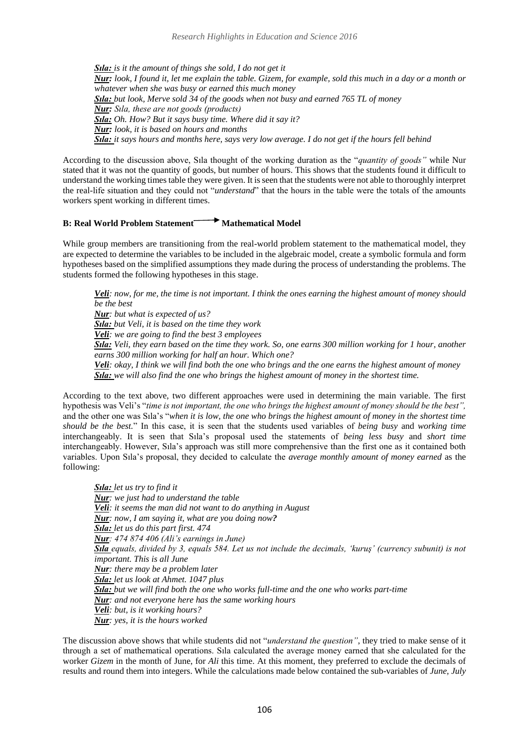*Sıla: is it the amount of things she sold, I do not get it Nur: look, I found it, let me explain the table. Gizem, for example, sold this much in a day or a month or whatever when she was busy or earned this much money Sıla: but look, Merve sold 34 of the goods when not busy and earned 765 TL of money Nur: Sıla, these are not goods (products) Sıla: Oh. How? But it says busy time. Where did it say it? Nur: look, it is based on hours and months Sıla: it says hours and months here, says very low average. I do not get if the hours fell behind*

According to the discussion above, Sıla thought of the working duration as the "*quantity of goods"* while Nur stated that it was not the quantity of goods, but number of hours. This shows that the students found it difficult to understand the working times table they were given. It is seen that the students were not able to thoroughly interpret the real-life situation and they could not "*understand*" that the hours in the table were the totals of the amounts workers spent working in different times.

# **B: Real World Problem Statement Mathematical Model**

While group members are transitioning from the real-world problem statement to the mathematical model, they are expected to determine the variables to be included in the algebraic model, create a symbolic formula and form hypotheses based on the simplified assumptions they made during the process of understanding the problems. The students formed the following hypotheses in this stage.

*Veli: now, for me, the time is not important. I think the ones earning the highest amount of money should be the best*

*Nur: but what is expected of us?*

*Sıla: but Veli, it is based on the time they work Veli: we are going to find the best 3 employees*

*Sıla: Veli, they earn based on the time they work. So, one earns 300 million working for 1 hour, another earns 300 million working for half an hour. Which one?*

*Veli: okay, I think we will find both the one who brings and the one earns the highest amount of money Sıla: we will also find the one who brings the highest amount of money in the shortest time.*

According to the text above, two different approaches were used in determining the main variable. The first hypothesis was Veli's "*time is not important, the one who brings the highest amount of money should be the best",* and the other one was Sıla's "*when it is low, the one who brings the highest amount of money in the shortest time should be the best.*" In this case, it is seen that the students used variables of *being busy* and *working time* interchangeably. It is seen that Sıla's proposal used the statements of *being less busy* and *short time*  interchangeably. However, Sıla's approach was still more comprehensive than the first one as it contained both variables. Upon Sıla's proposal, they decided to calculate the *average monthly amount of money earned* as the following:

*Sıla: let us try to find it Nur: we just had to understand the table Veli: it seems the man did not want to do anything in August Nur: now, I am saying it, what are you doing now? Sıla: let us do this part first. 474 Nur: 474 874 406 (Ali's earnings in June) Sıla equals, divided by 3, equals 584. Let us not include the decimals, 'kuruş' (currency subunit) is not important. This is all June Nur: there may be a problem later Sıla: let us look at Ahmet. 1047 plus Sıla: but we will find both the one who works full-time and the one who works part-time Nur: and not everyone here has the same working hours Veli: but, is it working hours? Nur: yes, it is the hours worked*

The discussion above shows that while students did not "*understand the question"*, they tried to make sense of it through a set of mathematical operations. Sıla calculated the average money earned that she calculated for the worker *Gizem* in the month of June, for *Ali* this time. At this moment, they preferred to exclude the decimals of results and round them into integers. While the calculations made below contained the sub-variables of *June, July*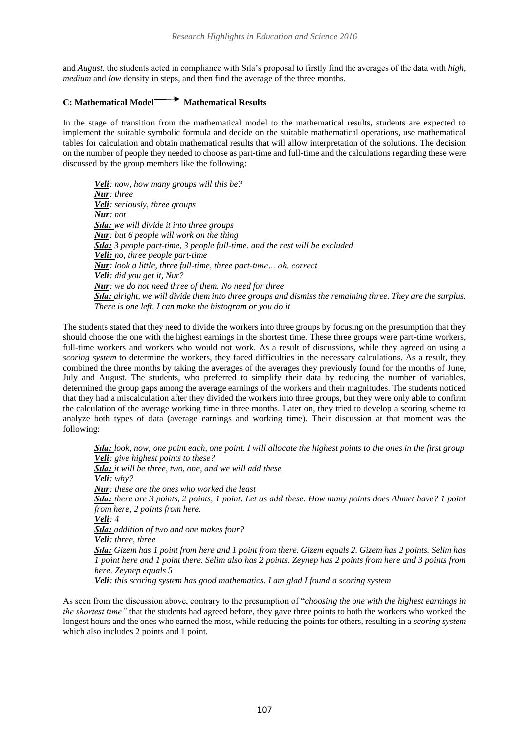and *August*, the students acted in compliance with Sıla's proposal to firstly find the averages of the data with *high, medium* and *low* density in steps, and then find the average of the three months.

# **C: Mathematical Model Mathematical Results**

In the stage of transition from the mathematical model to the mathematical results, students are expected to implement the suitable symbolic formula and decide on the suitable mathematical operations, use mathematical tables for calculation and obtain mathematical results that will allow interpretation of the solutions. The decision on the number of people they needed to choose as part-time and full-time and the calculations regarding these were discussed by the group members like the following:

*Veli: now, how many groups will this be? Nur: three Veli: seriously, three groups Nur: not Sıla: we will divide it into three groups Nur: but 6 people will work on the thing Sıla: 3 people part-time, 3 people full-time, and the rest will be excluded Veli: no, three people part-time Nur: look a little, three full-time, three part-time… oh, correct Veli: did you get it, Nur? Nur: we do not need three of them. No need for three Sıla: alright, we will divide them into three groups and dismiss the remaining three. They are the surplus. There is one left. I can make the histogram or you do it*

The students stated that they need to divide the workers into three groups by focusing on the presumption that they should choose the one with the highest earnings in the shortest time. These three groups were part-time workers, full-time workers and workers who would not work. As a result of discussions, while they agreed on using a *scoring system* to determine the workers, they faced difficulties in the necessary calculations. As a result, they combined the three months by taking the averages of the averages they previously found for the months of June, July and August. The students, who preferred to simplify their data by reducing the number of variables, determined the group gaps among the average earnings of the workers and their magnitudes. The students noticed that they had a miscalculation after they divided the workers into three groups, but they were only able to confirm the calculation of the average working time in three months. Later on, they tried to develop a scoring scheme to analyze both types of data (average earnings and working time). Their discussion at that moment was the following:

*Sıla: look, now, one point each, one point. I will allocate the highest points to the ones in the first group Veli: give highest points to these? Sıla: it will be three, two, one, and we will add these Veli: why? Nur: these are the ones who worked the least Sıla: there are 3 points, 2 points, 1 point. Let us add these. How many points does Ahmet have? 1 point from here, 2 points from here. Veli: 4 Sıla: addition of two and one makes four? Veli: three, three Sıla: Gizem has 1 point from here and 1 point from there. Gizem equals 2. Gizem has 2 points. Selim has 1 point here and 1 point there. Selim also has 2 points. Zeynep has 2 points from here and 3 points from here. Zeynep equals 5 Veli: this scoring system has good mathematics. I am glad I found a scoring system*

As seen from the discussion above, contrary to the presumption of "*choosing the one with the highest earnings in the shortest time"* that the students had agreed before, they gave three points to both the workers who worked the longest hours and the ones who earned the most, while reducing the points for others, resulting in a *scoring system*  which also includes 2 points and 1 point.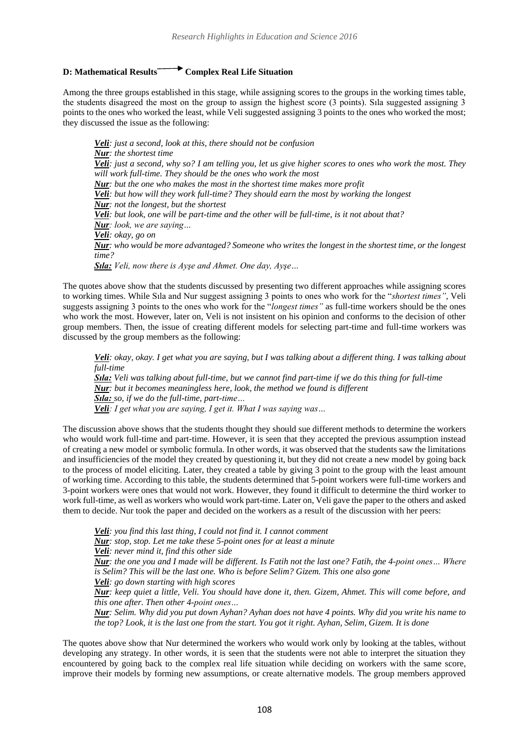# **D: Mathematical Results Complex Real Life Situation**

Among the three groups established in this stage, while assigning scores to the groups in the working times table, the students disagreed the most on the group to assign the highest score (3 points). Sıla suggested assigning 3 points to the ones who worked the least, while Veli suggested assigning 3 points to the ones who worked the most; they discussed the issue as the following:

*Veli: just a second, look at this, there should not be confusion Nur: the shortest time Veli: just a second, why so? I am telling you, let us give higher scores to ones who work the most. They will work full-time. They should be the ones who work the most Nur: but the one who makes the most in the shortest time makes more profit Veli: but how will they work full-time? They should earn the most by working the longest Nur: not the longest, but the shortest Veli: but look, one will be part-time and the other will be full-time, is it not about that? Nur: look, we are saying… Veli: okay, go on Nur: who would be more advantaged? Someone who writes the longest in the shortest time, or the longest time? Sıla: Veli, now there is Ayşe and Ahmet. One day, Ayşe…*

The quotes above show that the students discussed by presenting two different approaches while assigning scores to working times. While Sıla and Nur suggest assigning 3 points to ones who work for the "*shortest times"*, Veli suggests assigning 3 points to the ones who work for the "*longest times"* as full-time workers should be the ones who work the most. However, later on, Veli is not insistent on his opinion and conforms to the decision of other group members. Then, the issue of creating different models for selecting part-time and full-time workers was discussed by the group members as the following:

*Veli: okay, okay. I get what you are saying, but I was talking about a different thing. I was talking about full-time*

*Sıla: Veli was talking about full-time, but we cannot find part-time if we do this thing for full-time Nur: but it becomes meaningless here, look, the method we found is different Sıla: so, if we do the full-time, part-time… Veli: I get what you are saying, I get it. What I was saying was…*

The discussion above shows that the students thought they should sue different methods to determine the workers who would work full-time and part-time. However, it is seen that they accepted the previous assumption instead of creating a new model or symbolic formula. In other words, it was observed that the students saw the limitations and insufficiencies of the model they created by questioning it, but they did not create a new model by going back to the process of model eliciting. Later, they created a table by giving 3 point to the group with the least amount of working time. According to this table, the students determined that 5-point workers were full-time workers and 3-point workers were ones that would not work. However, they found it difficult to determine the third worker to work full-time, as well as workers who would work part-time. Later on, Veli gave the paper to the others and asked them to decide. Nur took the paper and decided on the workers as a result of the discussion with her peers:

*Veli: you find this last thing, I could not find it. I cannot comment*

*Nur: stop, stop. Let me take these 5-point ones for at least a minute*

*Veli: never mind it, find this other side*

*Nur: the one you and I made will be different. Is Fatih not the last one? Fatih, the 4-point ones… Where is Selim? This will be the last one. Who is before Selim? Gizem. This one also gone*

*Veli: go down starting with high scores*

*Nur: keep quiet a little, Veli. You should have done it, then. Gizem, Ahmet. This will come before, and this one after. Then other 4-point ones…*

*Nur: Selim. Why did you put down Ayhan? Ayhan does not have 4 points. Why did you write his name to the top? Look, it is the last one from the start. You got it right. Ayhan, Selim, Gizem. It is done*

The quotes above show that Nur determined the workers who would work only by looking at the tables, without developing any strategy. In other words, it is seen that the students were not able to interpret the situation they encountered by going back to the complex real life situation while deciding on workers with the same score, improve their models by forming new assumptions, or create alternative models. The group members approved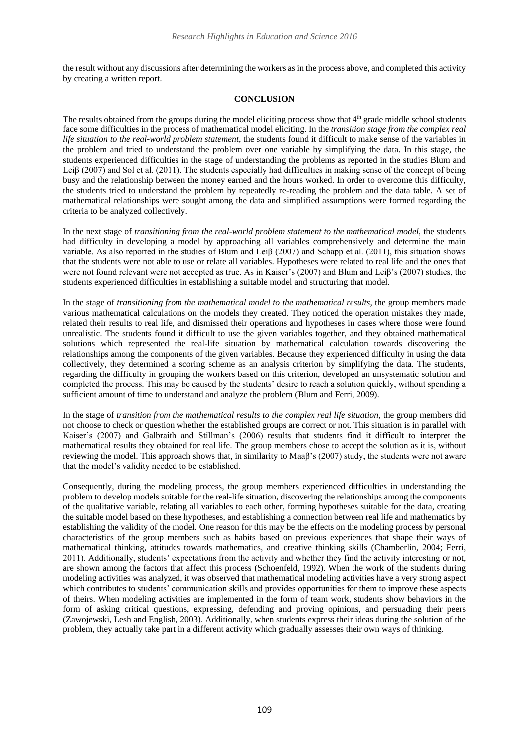the result without any discussions after determining the workers as in the process above, and completed this activity by creating a written report.

#### **CONCLUSION**

The results obtained from the groups during the model eliciting process show that  $4<sup>th</sup>$  grade middle school students face some difficulties in the process of mathematical model eliciting. In the *transition stage from the complex real life situation to the real-world problem statement*, the students found it difficult to make sense of the variables in the problem and tried to understand the problem over one variable by simplifying the data. In this stage, the students experienced difficulties in the stage of understanding the problems as reported in the studies Blum and Leiβ (2007) and Sol et al. (2011). The students especially had difficulties in making sense of the concept of being busy and the relationship between the money earned and the hours worked. In order to overcome this difficulty, the students tried to understand the problem by repeatedly re-reading the problem and the data table. A set of mathematical relationships were sought among the data and simplified assumptions were formed regarding the criteria to be analyzed collectively.

In the next stage of *transitioning from the real-world problem statement to the mathematical model,* the students had difficulty in developing a model by approaching all variables comprehensively and determine the main variable. As also reported in the studies of Blum and Leiβ (2007) and Schapp et al. (2011), this situation shows that the students were not able to use or relate all variables. Hypotheses were related to real life and the ones that were not found relevant were not accepted as true. As in Kaiser's (2007) and Blum and Leiβ's (2007) studies, the students experienced difficulties in establishing a suitable model and structuring that model.

In the stage of *transitioning from the mathematical model to the mathematical results,* the group members made various mathematical calculations on the models they created. They noticed the operation mistakes they made, related their results to real life, and dismissed their operations and hypotheses in cases where those were found unrealistic. The students found it difficult to use the given variables together, and they obtained mathematical solutions which represented the real-life situation by mathematical calculation towards discovering the relationships among the components of the given variables. Because they experienced difficulty in using the data collectively, they determined a scoring scheme as an analysis criterion by simplifying the data. The students, regarding the difficulty in grouping the workers based on this criterion, developed an unsystematic solution and completed the process. This may be caused by the students' desire to reach a solution quickly, without spending a sufficient amount of time to understand and analyze the problem (Blum and Ferri, 2009).

In the stage of *transition from the mathematical results to the complex real life situation,* the group members did not choose to check or question whether the established groups are correct or not. This situation is in parallel with Kaiser's (2007) and Galbraith and Stillman's (2006) results that students find it difficult to interpret the mathematical results they obtained for real life. The group members chose to accept the solution as it is, without reviewing the model. This approach shows that, in similarity to Maa $\beta$ 's (2007) study, the students were not aware that the model's validity needed to be established.

Consequently, during the modeling process, the group members experienced difficulties in understanding the problem to develop models suitable for the real-life situation, discovering the relationships among the components of the qualitative variable, relating all variables to each other, forming hypotheses suitable for the data, creating the suitable model based on these hypotheses, and establishing a connection between real life and mathematics by establishing the validity of the model. One reason for this may be the effects on the modeling process by personal characteristics of the group members such as habits based on previous experiences that shape their ways of mathematical thinking, attitudes towards mathematics, and creative thinking skills (Chamberlin, 2004; Ferri, 2011). Additionally, students' expectations from the activity and whether they find the activity interesting or not, are shown among the factors that affect this process (Schoenfeld, 1992). When the work of the students during modeling activities was analyzed, it was observed that mathematical modeling activities have a very strong aspect which contributes to students' communication skills and provides opportunities for them to improve these aspects of theirs. When modeling activities are implemented in the form of team work, students show behaviors in the form of asking critical questions, expressing, defending and proving opinions, and persuading their peers (Zawojewski, Lesh and English, 2003). Additionally, when students express their ideas during the solution of the problem, they actually take part in a different activity which gradually assesses their own ways of thinking.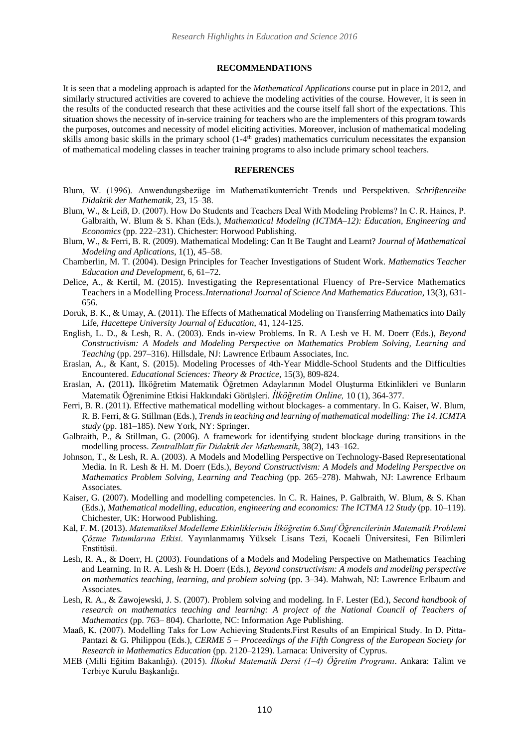#### **RECOMMENDATIONS**

It is seen that a modeling approach is adapted for the *Mathematical Applications* course put in place in 2012, and similarly structured activities are covered to achieve the modeling activities of the course. However, it is seen in the results of the conducted research that these activities and the course itself fall short of the expectations. This situation shows the necessity of in-service training for teachers who are the implementers of this program towards the purposes, outcomes and necessity of model eliciting activities. Moreover, inclusion of mathematical modeling skills among basic skills in the primary school (1-4<sup>th</sup> grades) mathematics curriculum necessitates the expansion of mathematical modeling classes in teacher training programs to also include primary school teachers.

#### **REFERENCES**

- Blum, W. (1996). Anwendungsbezüge im Mathematikunterricht–Trends und Perspektiven. *Schriftenreihe Didaktik der Mathematik*, 23, 15–38.
- Blum, W., & Leiß, D. (2007). How Do Students and Teachers Deal With Modeling Problems? In C. R. Haines, P. Galbraith, W. Blum & S. Khan (Eds.), *Mathematical Modeling (ICTMA–12): Education, Engineering and Economics* (pp. 222–231). Chichester: Horwood Publishing.
- Blum, W., & Ferri, B. R. (2009). Mathematical Modeling: Can It Be Taught and Learnt? *Journal of Mathematical Modeling and Aplications*, 1(1), 45–58.
- Chamberlin, M. T. (2004). Design Principles for Teacher Investigations of Student Work. *Mathematics Teacher Education and Development*, 6, 61–72.
- Delice, A., & Kertil, M. (2015). Investigating the Representational Fluency of Pre-Service Mathematics Teachers in a Modelling Process.*[International](http://link.springer.com/journal/10763) Journal of Science And Mathematics Education*, 13[\(3\)](http://link.springer.com/journal/10763/13/3/page/1), 631- 656.
- Doruk, B. K., & Umay, A. (2011). The Effects of Mathematical Modeling on Transferring Mathematics into Daily Life, *Hacettepe University Journal of Education*, 41, 124-125.
- English, L. D., & Lesh, R. A. (2003). Ends in-view Problems. In R. A Lesh ve H. M. Doerr (Eds.), *Beyond Constructivism: A Models and Modeling Perspective on Mathematics Problem Solving, Learning and Teaching* (pp. 297–316). Hillsdale, NJ: Lawrence Erlbaum Associates, Inc.
- Eraslan, A., & Kant, S. (2015). Modeling Processes of 4th-Year Middle-School Students and the Difficulties Encountered. *Educational Sciences: Theory & Practice*, 15(3), 809-824.
- Eraslan, A**. (**2011**).** İlköğretim Matematik Öğretmen Adaylarının Model Oluşturma Etkinlikleri ve Bunların Matematik Öğrenimine Etkisi Hakkındaki Görüşleri. *İlköğretim Online,* 10 (1), 364-377.
- Ferri, B. R. (2011). Effective mathematical modelling without blockages- a commentary. In G. Kaiser, W. Blum, R. B. Ferri, & G. Stillman (Eds.), *Trends in teaching and learning of mathematical modelling: The 14. ICMTA study* (pp. 181–185). New York, NY: Springer.
- Galbraith, P., & Stillman, G. (2006). A framework for identifying student blockage during transitions in the modelling process. *Zentralblatt für Didaktik der Mathematik*, 38(2), 143–162.
- Johnson, T., & Lesh, R. A. (2003). A Models and Modelling Perspective on Technology-Based Representational Media. In R. Lesh & H. M. Doerr (Eds.), *Beyond Constructivism: A Models and Modeling Perspective on Mathematics Problem Solving, Learning and Teaching* (pp. 265–278). Mahwah, NJ: Lawrence Erlbaum Associates.
- Kaiser, G. (2007). Modelling and modelling competencies. In C. R. Haines, P. Galbraith, W. Blum, & S. Khan (Eds.), *Mathematical modelling, education, engineering and economics: The ICTMA 12 Study* (pp. 10–119). Chichester, UK: Horwood Publishing.
- Kal, F. M. (2013). *Matematiksel Modelleme Etkinliklerinin İlköğretim 6.Sınıf Öğrencilerinin Matematik Problemi Çözme Tutumlarına Etkisi*. Yayınlanmamış Yüksek Lisans Tezi, Kocaeli Üniversitesi, Fen Bilimleri Enstitüsü.
- Lesh, R. A., & Doerr, H. (2003). Foundations of a Models and Modeling Perspective on Mathematics Teaching and Learning. In R. A. Lesh & H. Doerr (Eds.), *Beyond constructivism: A models and modeling perspective on mathematics teaching, learning, and problem solving* (pp. 3–34). Mahwah, NJ: Lawrence Erlbaum and Associates.
- Lesh, R. A., & Zawojewski, J. S. (2007). Problem solving and modeling. In F. Lester (Ed.), *Second handbook of*  research on mathematics teaching and learning: A project of the National Council of Teachers of *Mathematics* (pp. 763– 804). Charlotte, NC: Information Age Publishing.
- Maaß, K. (2007). Modelling Taks for Low Achieving Students.First Results of an Empirical Study. In D. Pitta-Pantazi & G. Philippou (Eds.), *CERME 5 – Proceedings of the Fifth Congress of the European Society for Research in Mathematics Education* (pp. 2120–2129). Larnaca: University of Cyprus.
- MEB (Milli Eğitim Bakanlığı). (2015). *İlkokul Matematik Dersi (1–4) Öğretim Programı*. Ankara: Talim ve Terbiye Kurulu Başkanlığı.